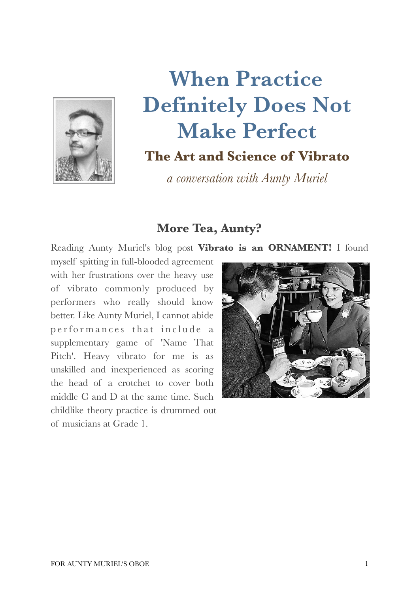

# **When Practice Definitely Does Not Make Perfect**

# **The Art and Science of Vibrato**

*a conversation with Aunty Muriel*

## **More Tea, Aunty?**

Reading Aunty Muriel's blog post **Vibrato is an ORNAMENT!** I found

myself spitting in full-blooded agreement with her frustrations over the heavy use of vibrato commonly produced by performers who really should know better. Like Aunty Muriel, I cannot abide performances that include a supplementary game of 'Name That Pitch'. Heavy vibrato for me is as unskilled and inexperienced as scoring the head of a crotchet to cover both middle C and D at the same time. Such childlike theory practice is drummed out of musicians at Grade 1.

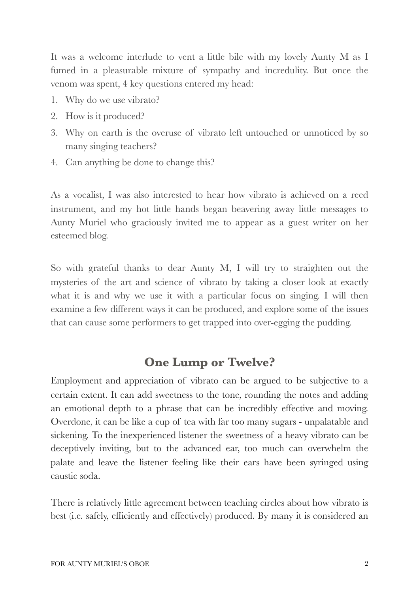It was a welcome interlude to vent a little bile with my lovely Aunty M as I fumed in a pleasurable mixture of sympathy and incredulity. But once the venom was spent, 4 key questions entered my head:

- 1. Why do we use vibrato?
- 2. How is it produced?
- 3. Why on earth is the overuse of vibrato left untouched or unnoticed by so many singing teachers?
- 4. Can anything be done to change this?

As a vocalist, I was also interested to hear how vibrato is achieved on a reed instrument, and my hot little hands began beavering away little messages to Aunty Muriel who graciously invited me to appear as a guest writer on her esteemed blog.

So with grateful thanks to dear Aunty M, I will try to straighten out the mysteries of the art and science of vibrato by taking a closer look at exactly what it is and why we use it with a particular focus on singing. I will then examine a few different ways it can be produced, and explore some of the issues that can cause some performers to get trapped into over-egging the pudding.

## **One Lump or Twelve?**

Employment and appreciation of vibrato can be argued to be subjective to a certain extent. It can add sweetness to the tone, rounding the notes and adding an emotional depth to a phrase that can be incredibly effective and moving. Overdone, it can be like a cup of tea with far too many sugars - unpalatable and sickening. To the inexperienced listener the sweetness of a heavy vibrato can be deceptively inviting, but to the advanced ear, too much can overwhelm the palate and leave the listener feeling like their ears have been syringed using caustic soda.

There is relatively little agreement between teaching circles about how vibrato is best (i.e. safely, efficiently and effectively) produced. By many it is considered an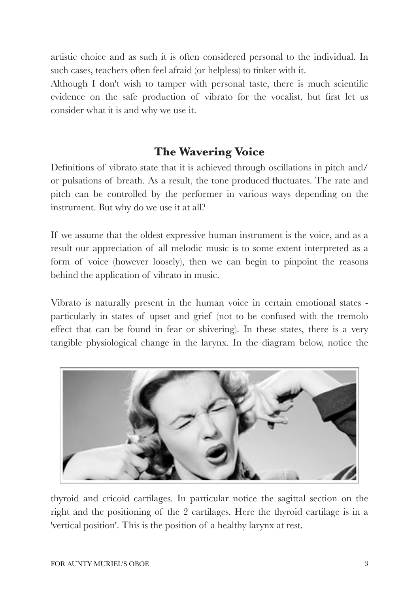artistic choice and as such it is often considered personal to the individual. In such cases, teachers often feel afraid (or helpless) to tinker with it.

Although I don't wish to tamper with personal taste, there is much scientific evidence on the safe production of vibrato for the vocalist, but first let us consider what it is and why we use it.

# **The Wavering Voice**

Definitions of vibrato state that it is achieved through oscillations in pitch and/ or pulsations of breath. As a result, the tone produced fluctuates. The rate and pitch can be controlled by the performer in various ways depending on the instrument. But why do we use it at all?

If we assume that the oldest expressive human instrument is the voice, and as a result our appreciation of all melodic music is to some extent interpreted as a form of voice (however loosely), then we can begin to pinpoint the reasons behind the application of vibrato in music.

Vibrato is naturally present in the human voice in certain emotional states particularly in states of upset and grief (not to be confused with the tremolo effect that can be found in fear or shivering). In these states, there is a very tangible physiological change in the larynx. In the diagram below, notice the



thyroid and cricoid cartilages. In particular notice the sagittal section on the right and the positioning of the 2 cartilages. Here the thyroid cartilage is in a 'vertical position'. This is the position of a healthy larynx at rest.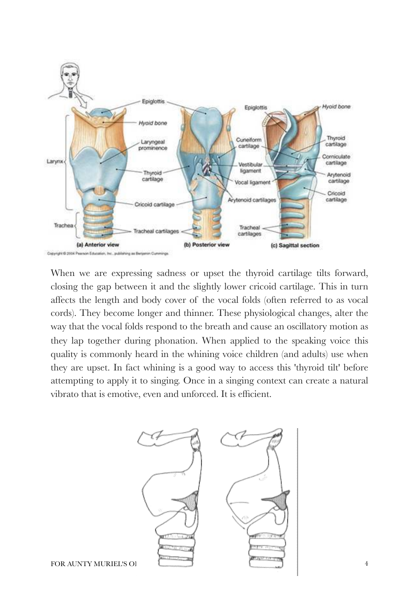

When we are expressing sadness or upset the thyroid cartilage tilts forward, closing the gap between it and the slightly lower cricoid cartilage. This in turn affects the length and body cover of the vocal folds (often referred to as vocal cords). They become longer and thinner. These physiological changes, alter the way that the vocal folds respond to the breath and cause an oscillatory motion as they lap together during phonation. When applied to the speaking voice this quality is commonly heard in the whining voice children (and adults) use when they are upset. In fact whining is a good way to access this 'thyroid tilt' before attempting to apply it to singing. Once in a singing context can create a natural vibrato that is emotive, even and unforced. It is efficient.

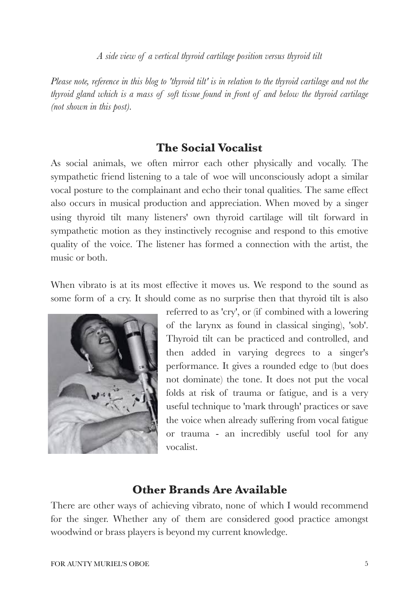*A side view of a vertical thyroid cartilage position versus thyroid tilt*

*Please note, reference in this blog to 'thyroid tilt' is in relation to the thyroid cartilage and not the thyroid gland which is a mass of soft tissue found in front of and below the thyroid cartilage (not shown in this post).*

#### **The Social Vocalist**

As social animals, we often mirror each other physically and vocally. The sympathetic friend listening to a tale of woe will unconsciously adopt a similar vocal posture to the complainant and echo their tonal qualities. The same effect also occurs in musical production and appreciation. When moved by a singer using thyroid tilt many listeners' own thyroid cartilage will tilt forward in sympathetic motion as they instinctively recognise and respond to this emotive quality of the voice. The listener has formed a connection with the artist, the music or both.

When vibrato is at its most effective it moves us. We respond to the sound as some form of a cry. It should come as no surprise then that thyroid tilt is also



referred to as 'cry', or (if combined with a lowering of the larynx as found in classical singing), 'sob'. Thyroid tilt can be practiced and controlled, and then added in varying degrees to a singer's performance. It gives a rounded edge to (but does not dominate) the tone. It does not put the vocal folds at risk of trauma or fatigue, and is a very useful technique to 'mark through' practices or save the voice when already suffering from vocal fatigue or trauma - an incredibly useful tool for any vocalist.

### **Other Brands Are Available**

There are other ways of achieving vibrato, none of which I would recommend for the singer. Whether any of them are considered good practice amongst woodwind or brass players is beyond my current knowledge.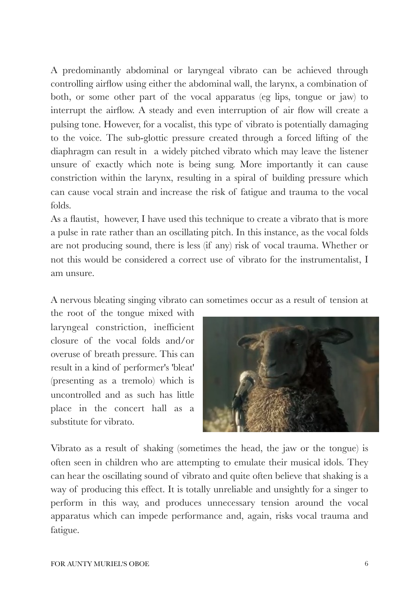A predominantly abdominal or laryngeal vibrato can be achieved through controlling airflow using either the abdominal wall, the larynx, a combination of both, or some other part of the vocal apparatus (eg lips, tongue or jaw) to interrupt the airflow. A steady and even interruption of air flow will create a pulsing tone. However, for a vocalist, this type of vibrato is potentially damaging to the voice. The sub-glottic pressure created through a forced lifting of the diaphragm can result in a widely pitched vibrato which may leave the listener unsure of exactly which note is being sung. More importantly it can cause constriction within the larynx, resulting in a spiral of building pressure which can cause vocal strain and increase the risk of fatigue and trauma to the vocal folds.

As a flautist, however, I have used this technique to create a vibrato that is more a pulse in rate rather than an oscillating pitch. In this instance, as the vocal folds are not producing sound, there is less (if any) risk of vocal trauma. Whether or not this would be considered a correct use of vibrato for the instrumentalist, I am unsure.

A nervous bleating singing vibrato can sometimes occur as a result of tension at

the root of the tongue mixed with laryngeal constriction, inefficient closure of the vocal folds and/or overuse of breath pressure. This can result in a kind of performer's 'bleat' (presenting as a tremolo) which is uncontrolled and as such has little place in the concert hall as a substitute for vibrato.



Vibrato as a result of shaking (sometimes the head, the jaw or the tongue) is often seen in children who are attempting to emulate their musical idols. They can hear the oscillating sound of vibrato and quite often believe that shaking is a way of producing this effect. It is totally unreliable and unsightly for a singer to perform in this way, and produces unnecessary tension around the vocal apparatus which can impede performance and, again, risks vocal trauma and fatigue.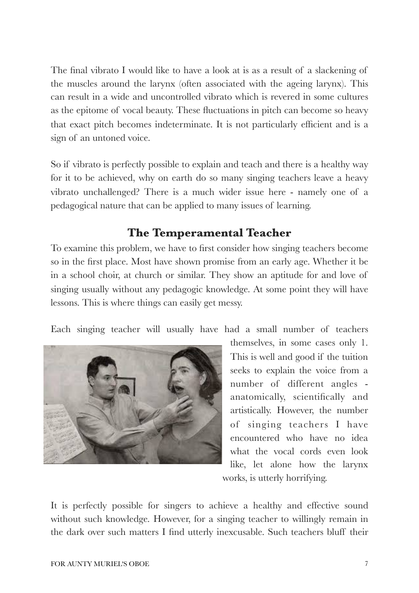The final vibrato I would like to have a look at is as a result of a slackening of the muscles around the larynx (often associated with the ageing larynx). This can result in a wide and uncontrolled vibrato which is revered in some cultures as the epitome of vocal beauty. These fluctuations in pitch can become so heavy that exact pitch becomes indeterminate. It is not particularly efficient and is a sign of an untoned voice.

So if vibrato is perfectly possible to explain and teach and there is a healthy way for it to be achieved, why on earth do so many singing teachers leave a heavy vibrato unchallenged? There is a much wider issue here - namely one of a pedagogical nature that can be applied to many issues of learning.

#### **The Temperamental Teacher**

To examine this problem, we have to first consider how singing teachers become so in the first place. Most have shown promise from an early age. Whether it be in a school choir, at church or similar. They show an aptitude for and love of singing usually without any pedagogic knowledge. At some point they will have lessons. This is where things can easily get messy.

Each singing teacher will usually have had a small number of teachers



themselves, in some cases only 1. This is well and good if the tuition seeks to explain the voice from a number of different angles anatomically, scientifically and artistically. However, the number of singing teachers I have encountered who have no idea what the vocal cords even look like, let alone how the larynx works, is utterly horrifying.

It is perfectly possible for singers to achieve a healthy and effective sound without such knowledge. However, for a singing teacher to willingly remain in the dark over such matters I find utterly inexcusable. Such teachers bluff their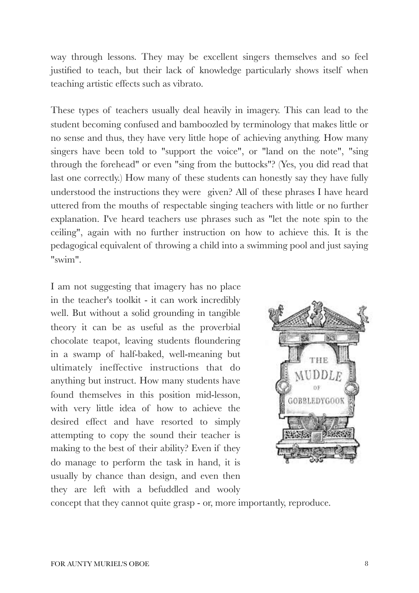way through lessons. They may be excellent singers themselves and so feel justified to teach, but their lack of knowledge particularly shows itself when teaching artistic effects such as vibrato.

These types of teachers usually deal heavily in imagery. This can lead to the student becoming confused and bamboozled by terminology that makes little or no sense and thus, they have very little hope of achieving anything. How many singers have been told to "support the voice", or "land on the note", "sing through the forehead" or even "sing from the buttocks"? (Yes, you did read that last one correctly.) How many of these students can honestly say they have fully understood the instructions they were given? All of these phrases I have heard uttered from the mouths of respectable singing teachers with little or no further explanation. I've heard teachers use phrases such as "let the note spin to the ceiling", again with no further instruction on how to achieve this. It is the pedagogical equivalent of throwing a child into a swimming pool and just saying "swim".

I am not suggesting that imagery has no place in the teacher's toolkit - it can work incredibly well. But without a solid grounding in tangible theory it can be as useful as the proverbial chocolate teapot, leaving students floundering in a swamp of half-baked, well-meaning but ultimately ineffective instructions that do anything but instruct. How many students have found themselves in this position mid-lesson, with very little idea of how to achieve the desired effect and have resorted to simply attempting to copy the sound their teacher is making to the best of their ability? Even if they do manage to perform the task in hand, it is usually by chance than design, and even then they are left with a befuddled and wooly



concept that they cannot quite grasp - or, more importantly, reproduce.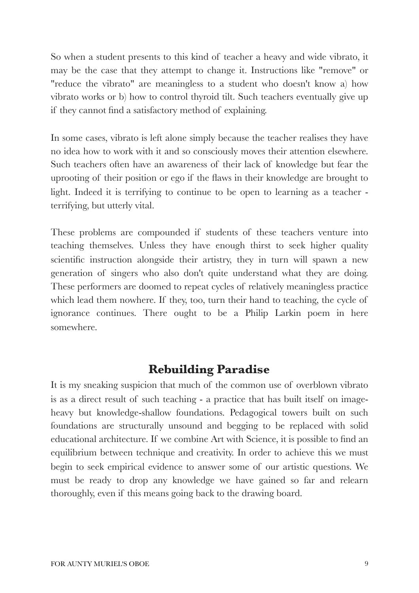So when a student presents to this kind of teacher a heavy and wide vibrato, it may be the case that they attempt to change it. Instructions like "remove" or "reduce the vibrato" are meaningless to a student who doesn't know a) how vibrato works or b) how to control thyroid tilt. Such teachers eventually give up if they cannot find a satisfactory method of explaining.

In some cases, vibrato is left alone simply because the teacher realises they have no idea how to work with it and so consciously moves their attention elsewhere. Such teachers often have an awareness of their lack of knowledge but fear the uprooting of their position or ego if the flaws in their knowledge are brought to light. Indeed it is terrifying to continue to be open to learning as a teacher terrifying, but utterly vital.

These problems are compounded if students of these teachers venture into teaching themselves. Unless they have enough thirst to seek higher quality scientific instruction alongside their artistry, they in turn will spawn a new generation of singers who also don't quite understand what they are doing. These performers are doomed to repeat cycles of relatively meaningless practice which lead them nowhere. If they, too, turn their hand to teaching, the cycle of ignorance continues. There ought to be a Philip Larkin poem in here somewhere.

## **Rebuilding Paradise**

It is my sneaking suspicion that much of the common use of overblown vibrato is as a direct result of such teaching - a practice that has built itself on imageheavy but knowledge-shallow foundations. Pedagogical towers built on such foundations are structurally unsound and begging to be replaced with solid educational architecture. If we combine Art with Science, it is possible to find an equilibrium between technique and creativity. In order to achieve this we must begin to seek empirical evidence to answer some of our artistic questions. We must be ready to drop any knowledge we have gained so far and relearn thoroughly, even if this means going back to the drawing board.